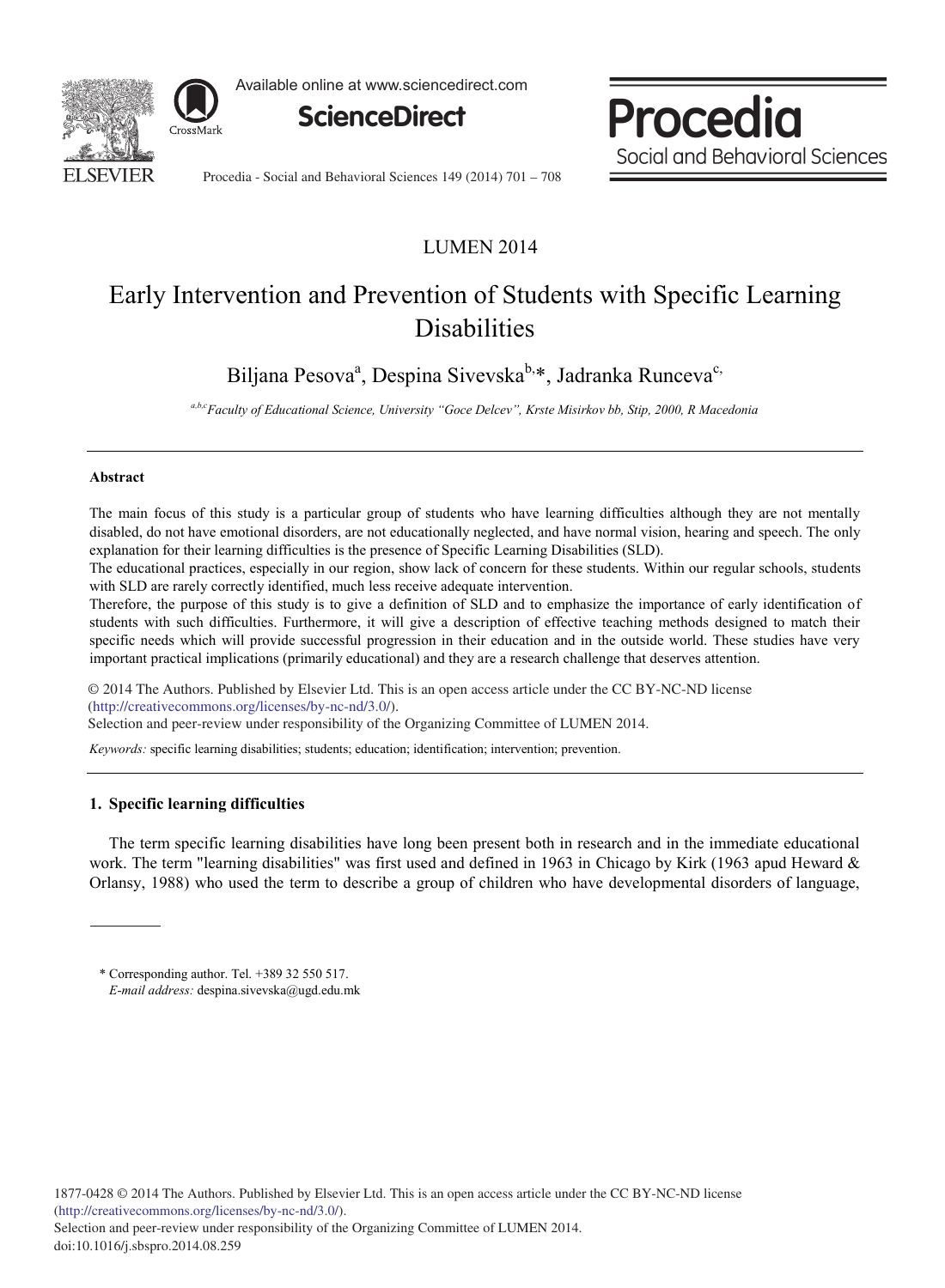

Available online at www.sciencedirect.com



Procedia Social and Behavioral Sciences

Procedia - Social and Behavioral Sciences 149 (2014) 701 – 708

# LUMEN 2014

# Early Intervention and Prevention of Students with Specific Learning **Disabilities**

Biljana Pesova<sup>a</sup>, Despina Sivevska<sup>b,</sup>\*, Jadranka Runceva<sup>c,</sup>

*a,b,cFaculty of Educational Science, University "Goce Delcev", Krste Misirkov bb, Stip, 2000, R Macedonia*

#### **Abstract**

The main focus of this study is a particular group of students who have learning difficulties although they are not mentally disabled, do not have emotional disorders, are not educationally neglected, and have normal vision, hearing and speech. The only explanation for their learning difficulties is the presence of Specific Learning Disabilities (SLD).

The educational practices, especially in our region, show lack of concern for these students. Within our regular schools, students with SLD are rarely correctly identified, much less receive adequate intervention.

Therefore, the purpose of this study is to give a definition of SLD and to emphasize the importance of early identification of students with such difficulties. Furthermore, it will give a description of effective teaching methods designed to match their specific needs which will provide successful progression in their education and in the outside world. These studies have very important practical implications (primarily educational) and they are a research challenge that deserves attention.

© 2014 The Authors. Published by Elsevier Ltd. © 2014 The Authors. Published by Elsevier Ltd. This is an open access article under the CC BY-NC-ND license (http://creativecommons.org/licenses/by-nc-nd/3.0/).

Selection and peer-review under responsibility of the Organizing Committee of LUMEN 2014.

*Keywords:* specific learning disabilities; students; education; identification; intervention; prevention.

# **1. Specific learning difficulties**

The term specific learning disabilities have long been present both in research and in the immediate educational work. The term "learning disabilities" was first used and defined in 1963 in Chicago by Kirk (1963 apud Heward & Orlansy, 1988) who used the term to describe a group of children who have developmental disorders of language,

<sup>\*</sup> Corresponding author. Tel. +389 32 550 517. *E-mail address:* despina.sivevska@ugd.edu.mk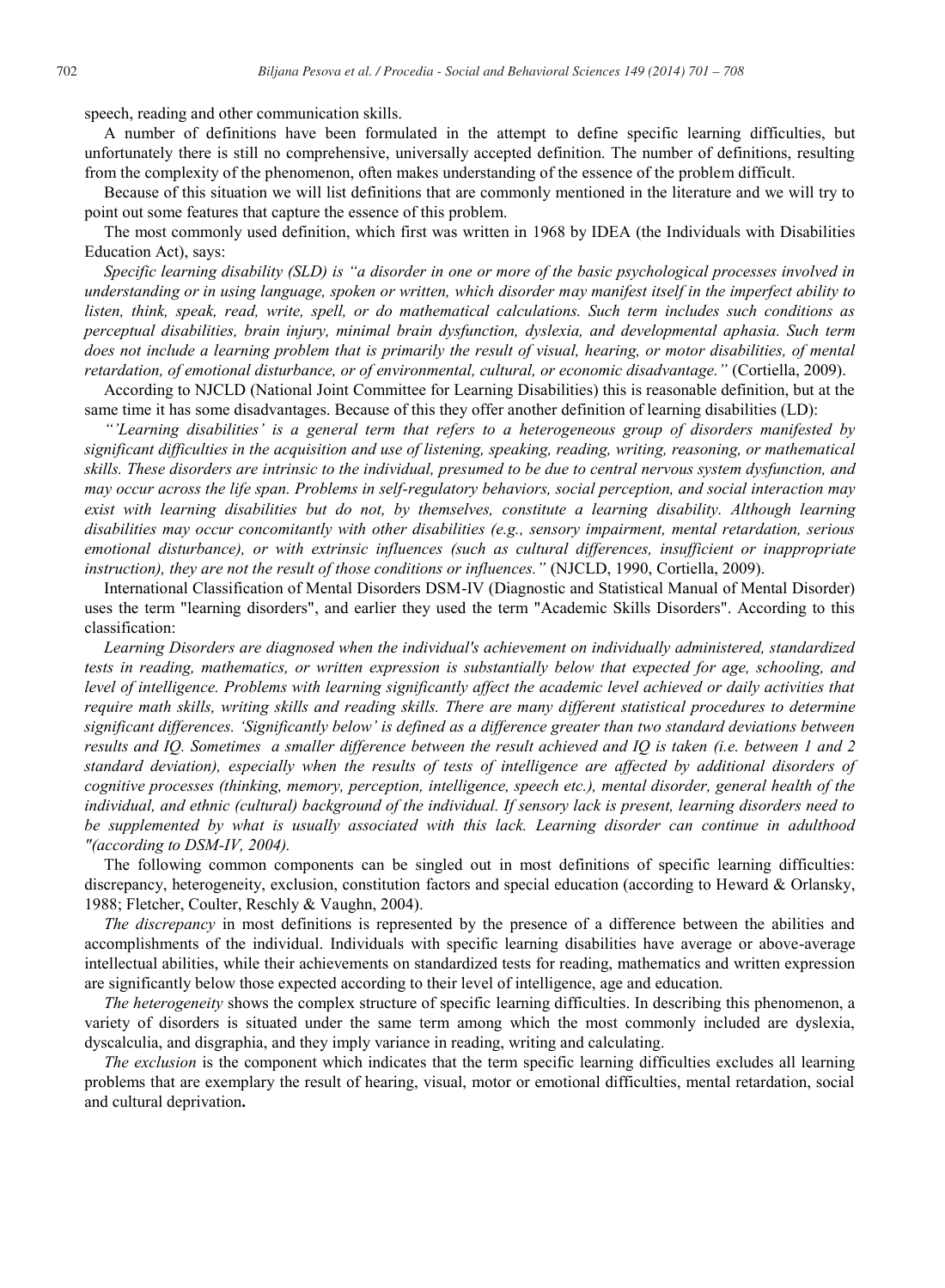speech, reading and other communication skills.

A number of definitions have been formulated in the attempt to define specific learning difficulties, but unfortunately there is still no comprehensive, universally accepted definition. The number of definitions, resulting from the complexity of the phenomenon, often makes understanding of the essence of the problem difficult.

Because of this situation we will list definitions that are commonly mentioned in the literature and we will try to point out some features that capture the essence of this problem.

The most commonly used definition, which first was written in 1968 by IDEA (the Individuals with Disabilities Education Act), says:

*Specific learning disability (SLD) is "a disorder in one or more of the basic psychological processes involved in understanding or in using language, spoken or written, which disorder may manifest itself in the imperfect ability to listen, think, speak, read, write, spell, or do mathematical calculations. Such term includes such conditions as perceptual disabilities, brain injury, minimal brain dysfunction, dyslexia, and developmental aphasia. Such term does not include a learning problem that is primarily the result of visual, hearing, or motor disabilities, of mental retardation, of emotional disturbance, or of environmental, cultural, or economic disadvantage."* (Cortiella, 2009).

According to NJCLD (National Joint Committee for Learning Disabilities) this is reasonable definition, but at the same time it has some disadvantages. Because of this they offer another definition of learning disabilities (LD):

*"'Learning disabilities' is a general term that refers to a heterogeneous group of disorders manifested by significant difficulties in the acquisition and use of listening, speaking, reading, writing, reasoning, or mathematical skills. These disorders are intrinsic to the individual, presumed to be due to central nervous system dysfunction, and may occur across the life span. Problems in self-regulatory behaviors, social perception, and social interaction may exist with learning disabilities but do not, by themselves, constitute a learning disability. Although learning disabilities may occur concomitantly with other disabilities (e.g., sensory impairment, mental retardation, serious emotional disturbance), or with extrinsic influences (such as cultural differences, insufficient or inappropriate instruction), they are not the result of those conditions or influences."* (NJCLD, 1990, Cortiella, 2009).

International Classification of Mental Disorders DSM-IV (Diagnostic and Statistical Manual of Mental Disorder) uses the term "learning disorders", and earlier they used the term "Academic Skills Disorders". According to this classification:

*Learning Disorders are diagnosed when the individual's achievement on individually administered, standardized tests in reading, mathematics, or written expression is substantially below that expected for age, schooling, and level of intelligence. Problems with learning significantly affect the academic level achieved or daily activities that require math skills, writing skills and reading skills. There are many different statistical procedures to determine significant differences. 'Significantly below' is defined as a difference greater than two standard deviations between results and IQ. Sometimes a smaller difference between the result achieved and IQ is taken (i.e. between 1 and 2 standard deviation), especially when the results of tests of intelligence are affected by additional disorders of cognitive processes (thinking, memory, perception, intelligence, speech etc.), mental disorder, general health of the individual, and ethnic (cultural) background of the individual. If sensory lack is present, learning disorders need to be supplemented by what is usually associated with this lack. Learning disorder can continue in adulthood "(according to DSM-IV, 2004).*

The following common components can be singled out in most definitions of specific learning difficulties: discrepancy, heterogeneity, exclusion, constitution factors and special education (according to Heward & Orlansky, 1988; Fletcher, Coulter, Reschly & Vaughn, 2004).

*The discrepancy* in most definitions is represented by the presence of a difference between the abilities and accomplishments of the individual. Individuals with specific learning disabilities have average or above-average intellectual abilities, while their achievements on standardized tests for reading, mathematics and written expression are significantly below those expected according to their level of intelligence, age and education.

*The heterogeneity* shows the complex structure of specific learning difficulties. In describing this phenomenon, a variety of disorders is situated under the same term among which the most commonly included are dyslexia, dyscalculia, and disgraphia, and they imply variance in reading, writing and calculating.

*The exclusion* is the component which indicates that the term specific learning difficulties excludes all learning problems that are exemplary the result of hearing, visual, motor or emotional difficulties, mental retardation, social and cultural deprivation**.**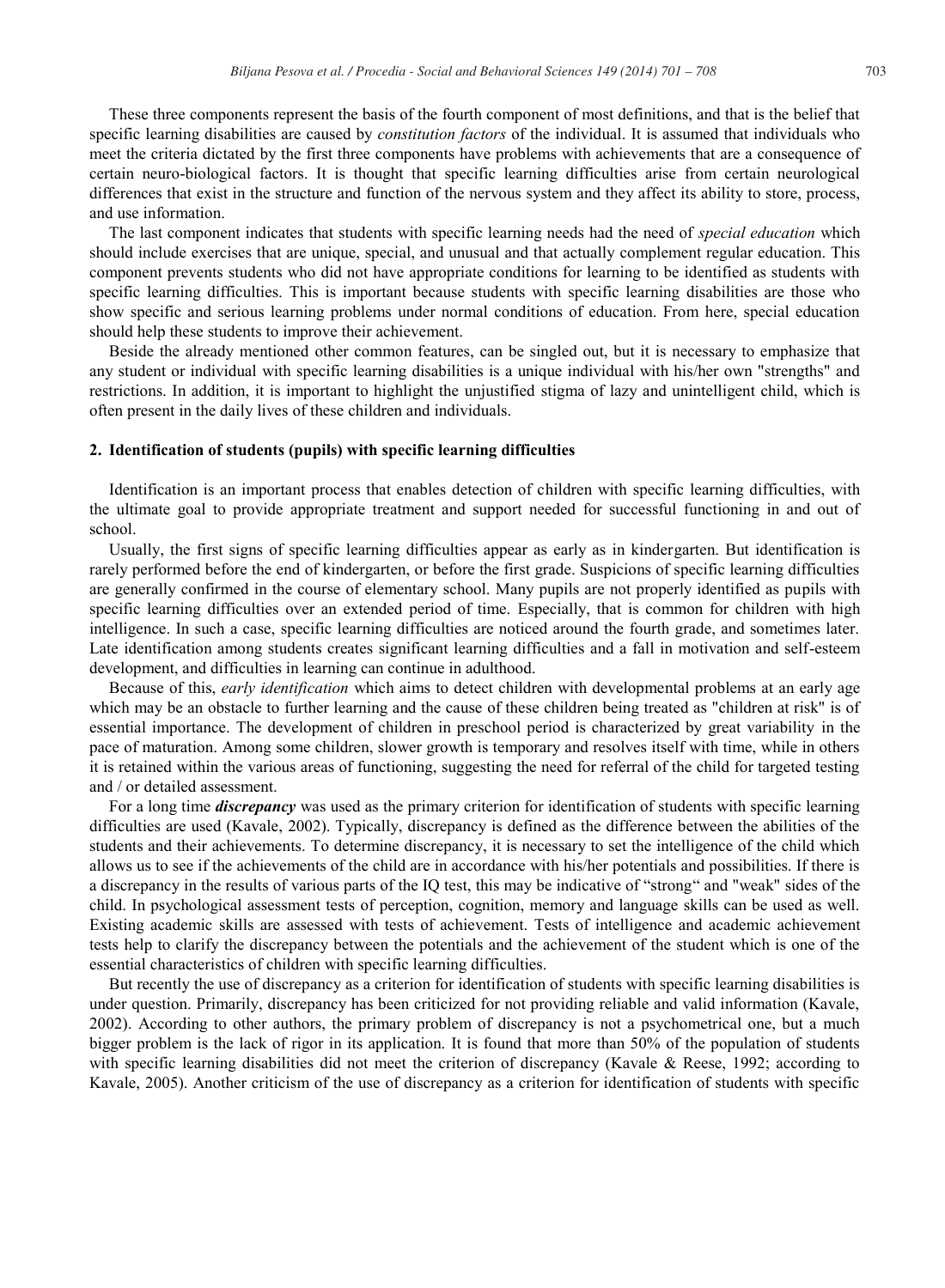These three components represent the basis of the fourth component of most definitions, and that is the belief that specific learning disabilities are caused by *constitution factors* of the individual. It is assumed that individuals who meet the criteria dictated by the first three components have problems with achievements that are a consequence of certain neuro-biological factors. It is thought that specific learning difficulties arise from certain neurological differences that exist in the structure and function of the nervous system and they affect its ability to store, process, and use information.

The last component indicates that students with specific learning needs had the need of *special education* which should include exercises that are unique, special, and unusual and that actually complement regular education. This component prevents students who did not have appropriate conditions for learning to be identified as students with specific learning difficulties. This is important because students with specific learning disabilities are those who show specific and serious learning problems under normal conditions of education. From here, special education should help these students to improve their achievement.

Beside the already mentioned other common features, can be singled out, but it is necessary to emphasize that any student or individual with specific learning disabilities is a unique individual with his/her own "strengths" and restrictions. In addition, it is important to highlight the unjustified stigma of lazy and unintelligent child, which is often present in the daily lives of these children and individuals.

#### **2. Identification of students (pupils) with specific learning difficulties**

Identification is an important process that enables detection of children with specific learning difficulties, with the ultimate goal to provide appropriate treatment and support needed for successful functioning in and out of school.

Usually, the first signs of specific learning difficulties appear as early as in kindergarten. But identification is rarely performed before the end of kindergarten, or before the first grade. Suspicions of specific learning difficulties are generally confirmed in the course of elementary school. Many pupils are not properly identified as pupils with specific learning difficulties over an extended period of time. Especially, that is common for children with high intelligence. In such a case, specific learning difficulties are noticed around the fourth grade, and sometimes later. Late identification among students creates significant learning difficulties and a fall in motivation and self-esteem development, and difficulties in learning can continue in adulthood.

Because of this, *early identification* which aims to detect children with developmental problems at an early age which may be an obstacle to further learning and the cause of these children being treated as "children at risk" is of essential importance. The development of children in preschool period is characterized by great variability in the pace of maturation. Among some children, slower growth is temporary and resolves itself with time, while in others it is retained within the various areas of functioning, suggesting the need for referral of the child for targeted testing and / or detailed assessment.

For a long time *discrepancy* was used as the primary criterion for identification of students with specific learning difficulties are used (Kavale, 2002). Typically, discrepancy is defined as the difference between the abilities of the students and their achievements. To determine discrepancy, it is necessary to set the intelligence of the child which allows us to see if the achievements of the child are in accordance with his/her potentials and possibilities. If there is a discrepancy in the results of various parts of the IQ test, this may be indicative of "strong" and "weak" sides of the child. In psychological assessment tests of perception, cognition, memory and language skills can be used as well. Existing academic skills are assessed with tests of achievement. Tests of intelligence and academic achievement tests help to clarify the discrepancy between the potentials and the achievement of the student which is one of the essential characteristics of children with specific learning difficulties.

But recently the use of discrepancy as a criterion for identification of students with specific learning disabilities is under question. Primarily, discrepancy has been criticized for not providing reliable and valid information (Kavale, 2002). According to other authors, the primary problem of discrepancy is not a psychometrical one, but a much bigger problem is the lack of rigor in its application. It is found that more than 50% of the population of students with specific learning disabilities did not meet the criterion of discrepancy (Kavale & Reese, 1992; according to Kavale, 2005). Another criticism of the use of discrepancy as a criterion for identification of students with specific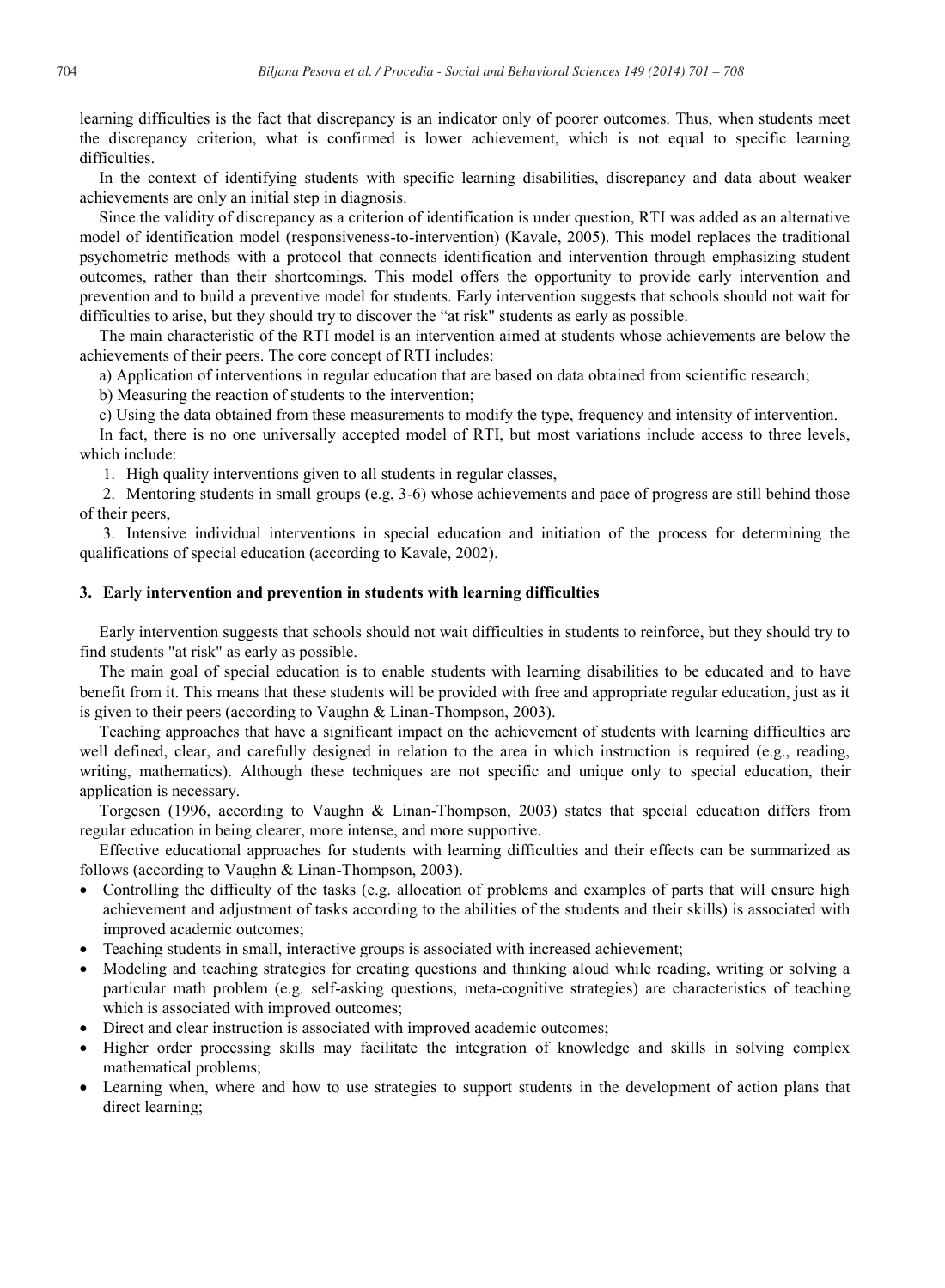learning difficulties is the fact that discrepancy is an indicator only of poorer outcomes. Thus, when students meet the discrepancy criterion, what is confirmed is lower achievement, which is not equal to specific learning difficulties.

In the context of identifying students with specific learning disabilities, discrepancy and data about weaker achievements are only an initial step in diagnosis.

Since the validity of discrepancy as a criterion of identification is under question, RTI was added as an alternative model of identification model (responsiveness-to-intervention) (Kavale, 2005). This model replaces the traditional psychometric methods with a protocol that connects identification and intervention through emphasizing student outcomes, rather than their shortcomings. This model offers the opportunity to provide early intervention and prevention and to build a preventive model for students. Early intervention suggests that schools should not wait for difficulties to arise, but they should try to discover the "at risk" students as early as possible.

The main characteristic of the RTI model is an intervention aimed at students whose achievements are below the achievements of their peers. The core concept of RTI includes:

a) Application of interventions in regular education that are based on data obtained from scientific research;

b) Measuring the reaction of students to the intervention;

c) Using the data obtained from these measurements to modify the type, frequency and intensity of intervention.

In fact, there is no one universally accepted model of RTI, but most variations include access to three levels, which include:

1. High quality interventions given to all students in regular classes,

2. Mentoring students in small groups (e.g, 3-6) whose achievements and pace of progress are still behind those of their peers,

3. Intensive individual interventions in special education and initiation of the process for determining the qualifications of special education (according to Kavale, 2002).

## **3. Early intervention and prevention in students with learning difficulties**

Early intervention suggests that schools should not wait difficulties in students to reinforce, but they should try to find students "at risk" as early as possible.

The main goal of special education is to enable students with learning disabilities to be educated and to have benefit from it. This means that these students will be provided with free and appropriate regular education, just as it is given to their peers (according to Vaughn & Linan-Thompson, 2003).

Teaching approaches that have a significant impact on the achievement of students with learning difficulties are well defined, clear, and carefully designed in relation to the area in which instruction is required (e.g., reading, writing, mathematics). Although these techniques are not specific and unique only to special education, their application is necessary.

Torgesen (1996, according to Vaughn & Linan-Thompson, 2003) states that special education differs from regular education in being clearer, more intense, and more supportive.

Effective educational approaches for students with learning difficulties and their effects can be summarized as follows (according to Vaughn & Linan-Thompson, 2003).

- Controlling the difficulty of the tasks (e.g. allocation of problems and examples of parts that will ensure high achievement and adjustment of tasks according to the abilities of the students and their skills) is associated with improved academic outcomes;
- x Teaching students in small, interactive groups is associated with increased achievement;
- Modeling and teaching strategies for creating questions and thinking aloud while reading, writing or solving a particular math problem (e.g. self-asking questions, meta-cognitive strategies) are characteristics of teaching which is associated with improved outcomes;
- Direct and clear instruction is associated with improved academic outcomes;
- Higher order processing skills may facilitate the integration of knowledge and skills in solving complex mathematical problems;
- Learning when, where and how to use strategies to support students in the development of action plans that direct learning;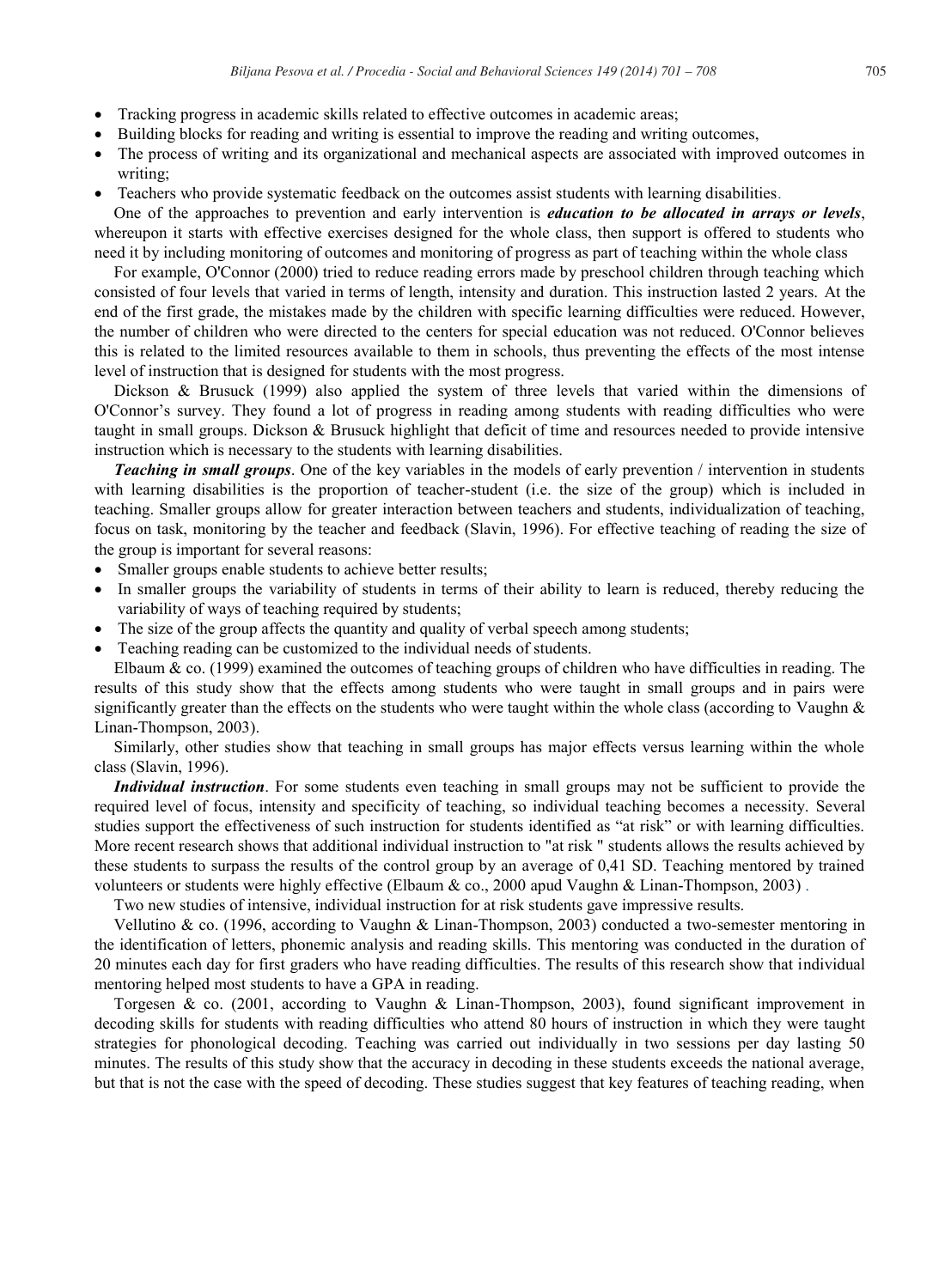- Tracking progress in academic skills related to effective outcomes in academic areas;
- Building blocks for reading and writing is essential to improve the reading and writing outcomes,
- The process of writing and its organizational and mechanical aspects are associated with improved outcomes in writing;
- Teachers who provide systematic feedback on the outcomes assist students with learning disabilities.

One of the approaches to prevention and early intervention is *education to be allocated in arrays or levels*, whereupon it starts with effective exercises designed for the whole class, then support is offered to students who need it by including monitoring of outcomes and monitoring of progress as part of teaching within the whole class

For example, O'Connor (2000) tried to reduce reading errors made by preschool children through teaching which consisted of four levels that varied in terms of length, intensity and duration. This instruction lasted 2 years. At the end of the first grade, the mistakes made by the children with specific learning difficulties were reduced. However, the number of children who were directed to the centers for special education was not reduced. O'Connor believes this is related to the limited resources available to them in schools, thus preventing the effects of the most intense level of instruction that is designed for students with the most progress.

Dickson & Brusuck (1999) also applied the system of three levels that varied within the dimensions of O'Connor's survey. They found a lot of progress in reading among students with reading difficulties who were taught in small groups. Dickson & Brusuck highlight that deficit of time and resources needed to provide intensive instruction which is necessary to the students with learning disabilities.

*Teaching in small groups*. One of the key variables in the models of early prevention / intervention in students with learning disabilities is the proportion of teacher-student (i.e. the size of the group) which is included in teaching. Smaller groups allow for greater interaction between teachers and students, individualization of teaching, focus on task, monitoring by the teacher and feedback (Slavin, 1996). For effective teaching of reading the size of the group is important for several reasons:

- Smaller groups enable students to achieve better results;
- In smaller groups the variability of students in terms of their ability to learn is reduced, thereby reducing the variability of ways of teaching required by students;
- The size of the group affects the quantity and quality of verbal speech among students;
- Teaching reading can be customized to the individual needs of students.

Elbaum & co. (1999) examined the outcomes of teaching groups of children who have difficulties in reading. The results of this study show that the effects among students who were taught in small groups and in pairs were significantly greater than the effects on the students who were taught within the whole class (according to Vaughn  $\&$ Linan-Thompson, 2003).

Similarly, other studies show that teaching in small groups has major effects versus learning within the whole class (Slavin, 1996).

*Individual instruction*. For some students even teaching in small groups may not be sufficient to provide the required level of focus, intensity and specificity of teaching, so individual teaching becomes a necessity. Several studies support the effectiveness of such instruction for students identified as "at risk" or with learning difficulties. More recent research shows that additional individual instruction to "at risk " students allows the results achieved by these students to surpass the results of the control group by an average of 0,41 SD. Teaching mentored by trained volunteers or students were highly effective (Elbaum & co., 2000 apud Vaughn & Linan-Thompson, 2003) .

Two new studies of intensive, individual instruction for at risk students gave impressive results.

Vellutino & co. (1996, according to Vaughn & Linan-Thompson, 2003) conducted a two-semester mentoring in the identification of letters, phonemic analysis and reading skills. This mentoring was conducted in the duration of 20 minutes each day for first graders who have reading difficulties. The results of this research show that individual mentoring helped most students to have a GPA in reading.

Torgesen & co. (2001, according to Vaughn & Linan-Thompson, 2003), found significant improvement in decoding skills for students with reading difficulties who attend 80 hours of instruction in which they were taught strategies for phonological decoding. Teaching was carried out individually in two sessions per day lasting 50 minutes. The results of this study show that the accuracy in decoding in these students exceeds the national average, but that is not the case with the speed of decoding. These studies suggest that key features of teaching reading, when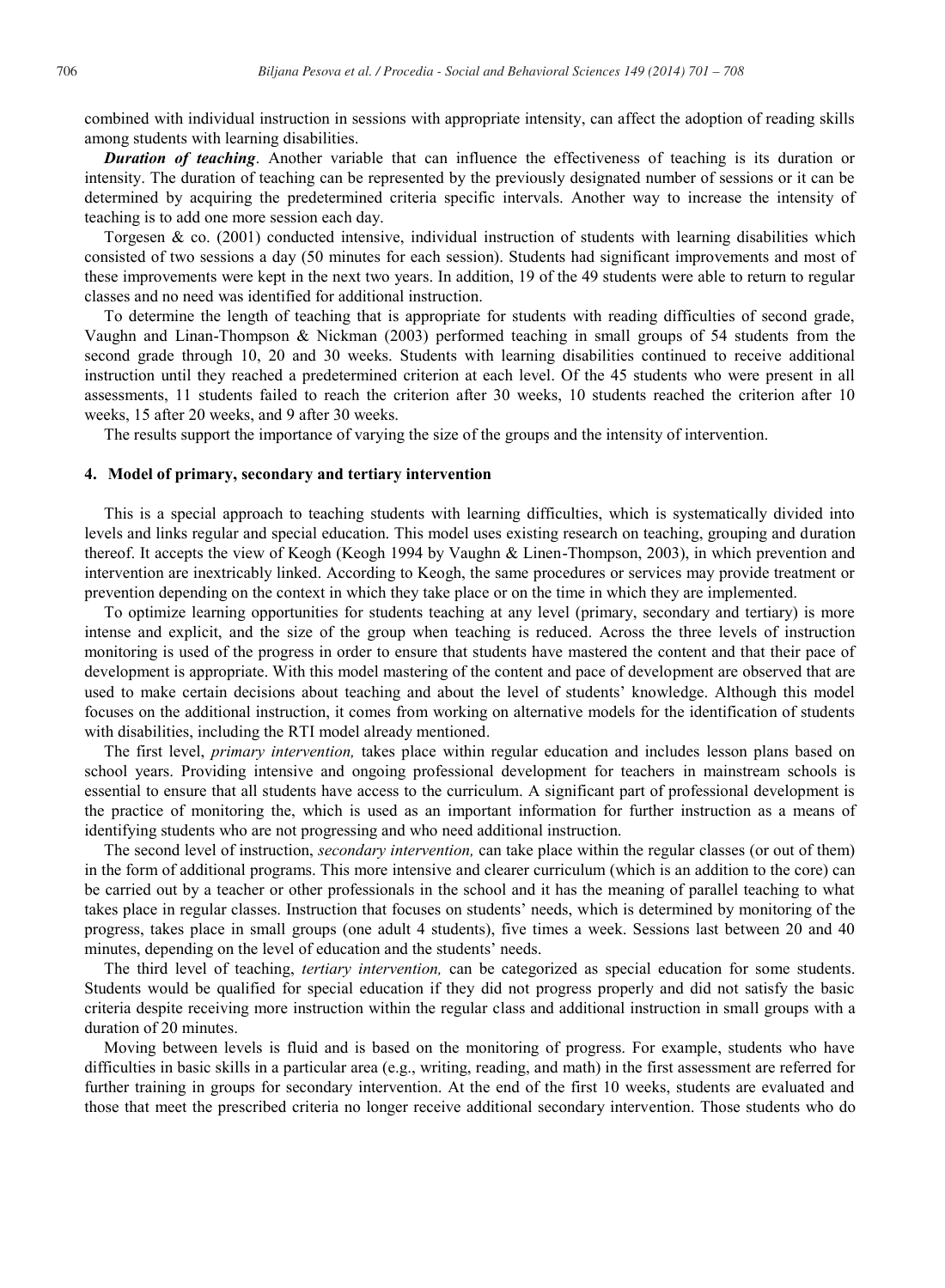combined with individual instruction in sessions with appropriate intensity, can affect the adoption of reading skills among students with learning disabilities.

*Duration of teaching*. Another variable that can influence the effectiveness of teaching is its duration or intensity. The duration of teaching can be represented by the previously designated number of sessions or it can be determined by acquiring the predetermined criteria specific intervals. Another way to increase the intensity of teaching is to add one more session each day.

Torgesen & co. (2001) conducted intensive, individual instruction of students with learning disabilities which consisted of two sessions a day (50 minutes for each session). Students had significant improvements and most of these improvements were kept in the next two years. In addition, 19 of the 49 students were able to return to regular classes and no need was identified for additional instruction.

To determine the length of teaching that is appropriate for students with reading difficulties of second grade, Vaughn and Linan-Thompson & Nickman (2003) performed teaching in small groups of 54 students from the second grade through 10, 20 and 30 weeks. Students with learning disabilities continued to receive additional instruction until they reached a predetermined criterion at each level. Of the 45 students who were present in all assessments, 11 students failed to reach the criterion after 30 weeks, 10 students reached the criterion after 10 weeks, 15 after 20 weeks, and 9 after 30 weeks.

The results support the importance of varying the size of the groups and the intensity of intervention.

#### **4. Model of primary, secondary and tertiary intervention**

This is a special approach to teaching students with learning difficulties, which is systematically divided into levels and links regular and special education. This model uses existing research on teaching, grouping and duration thereof. It accepts the view of Keogh (Keogh 1994 by Vaughn & Linen-Thompson, 2003), in which prevention and intervention are inextricably linked. According to Keogh, the same procedures or services may provide treatment or prevention depending on the context in which they take place or on the time in which they are implemented.

To optimize learning opportunities for students teaching at any level (primary, secondary and tertiary) is more intense and explicit, and the size of the group when teaching is reduced. Across the three levels of instruction monitoring is used of the progress in order to ensure that students have mastered the content and that their pace of development is appropriate. With this model mastering of the content and pace of development are observed that are used to make certain decisions about teaching and about the level of students' knowledge. Although this model focuses on the additional instruction, it comes from working on alternative models for the identification of students with disabilities, including the RTI model already mentioned.

The first level, *primary intervention,* takes place within regular education and includes lesson plans based on school years. Providing intensive and ongoing professional development for teachers in mainstream schools is essential to ensure that all students have access to the curriculum. A significant part of professional development is the practice of monitoring the, which is used as an important information for further instruction as a means of identifying students who are not progressing and who need additional instruction.

The second level of instruction, *secondary intervention,* can take place within the regular classes (or out of them) in the form of additional programs. This more intensive and clearer curriculum (which is an addition to the core) can be carried out by a teacher or other professionals in the school and it has the meaning of parallel teaching to what takes place in regular classes. Instruction that focuses on students' needs, which is determined by monitoring of the progress, takes place in small groups (one adult 4 students), five times a week. Sessions last between 20 and 40 minutes, depending on the level of education and the students' needs.

The third level of teaching, *tertiary intervention,* can be categorized as special education for some students. Students would be qualified for special education if they did not progress properly and did not satisfy the basic criteria despite receiving more instruction within the regular class and additional instruction in small groups with a duration of 20 minutes.

Moving between levels is fluid and is based on the monitoring of progress. For example, students who have difficulties in basic skills in a particular area (e.g., writing, reading, and math) in the first assessment are referred for further training in groups for secondary intervention. At the end of the first 10 weeks, students are evaluated and those that meet the prescribed criteria no longer receive additional secondary intervention. Those students who do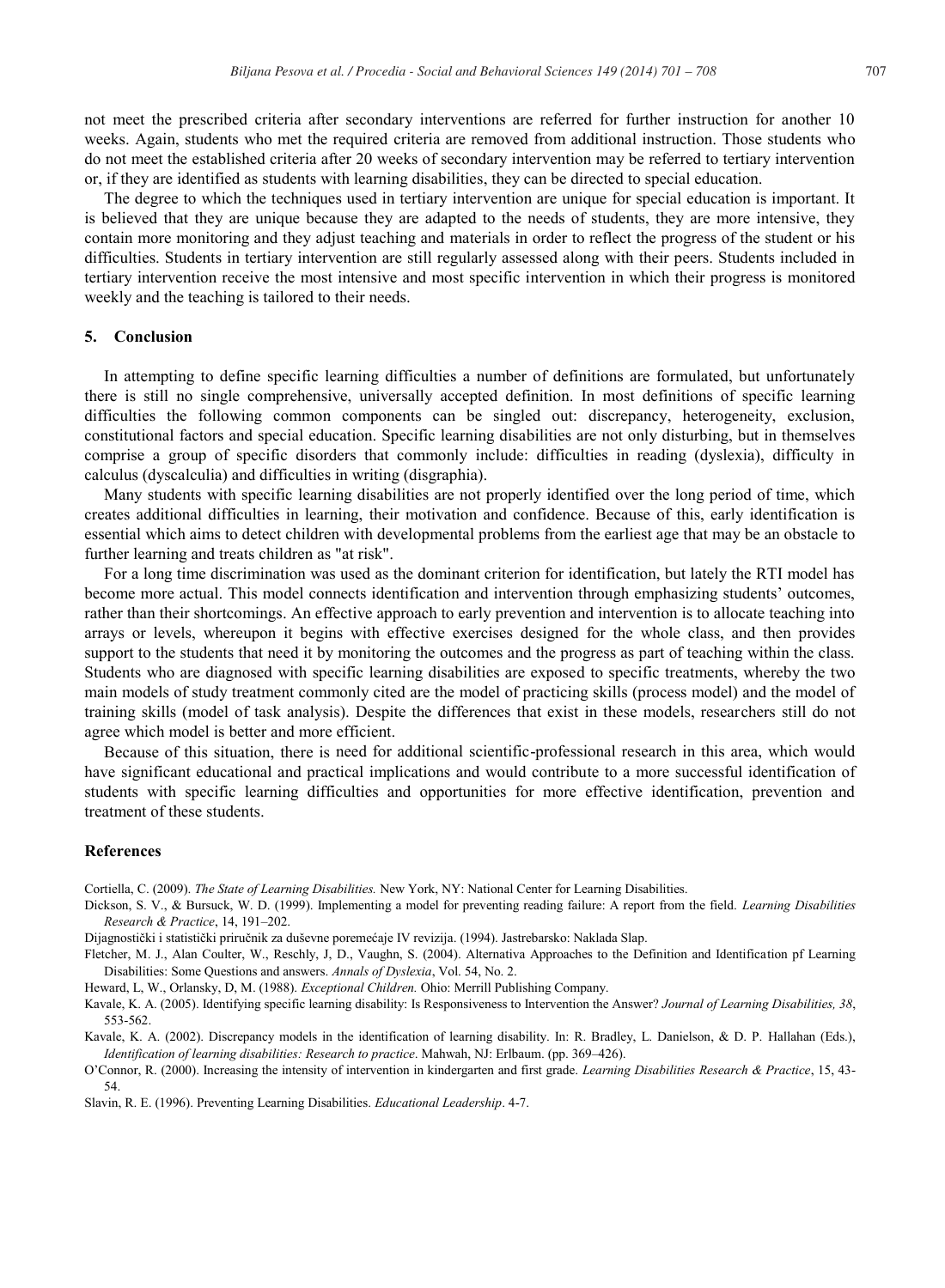not meet the prescribed criteria after secondary interventions are referred for further instruction for another 10 weeks. Again, students who met the required criteria are removed from additional instruction. Those students who do not meet the established criteria after 20 weeks of secondary intervention may be referred to tertiary intervention or, if they are identified as students with learning disabilities, they can be directed to special education.

The degree to which the techniques used in tertiary intervention are unique for special education is important. It is believed that they are unique because they are adapted to the needs of students, they are more intensive, they contain more monitoring and they adjust teaching and materials in order to reflect the progress of the student or his difficulties. Students in tertiary intervention are still regularly assessed along with their peers. Students included in tertiary intervention receive the most intensive and most specific intervention in which their progress is monitored weekly and the teaching is tailored to their needs.

#### **5. Conclusion**

In attempting to define specific learning difficulties a number of definitions are formulated, but unfortunately there is still no single comprehensive, universally accepted definition. In most definitions of specific learning difficulties the following common components can be singled out: discrepancy, heterogeneity, exclusion, constitutional factors and special education. Specific learning disabilities are not only disturbing, but in themselves comprise a group of specific disorders that commonly include: difficulties in reading (dyslexia), difficulty in calculus (dyscalculia) and difficulties in writing (disgraphia).

Many students with specific learning disabilities are not properly identified over the long period of time, which creates additional difficulties in learning, their motivation and confidence. Because of this, early identification is essential which aims to detect children with developmental problems from the earliest age that may be an obstacle to further learning and treats children as "at risk".

For a long time discrimination was used as the dominant criterion for identification, but lately the RTI model has become more actual. This model connects identification and intervention through emphasizing students' outcomes, rather than their shortcomings. An effective approach to early prevention and intervention is to allocate teaching into arrays or levels, whereupon it begins with effective exercises designed for the whole class, and then provides support to the students that need it by monitoring the outcomes and the progress as part of teaching within the class. Students who are diagnosed with specific learning disabilities are exposed to specific treatments, whereby the two main models of study treatment commonly cited are the model of practicing skills (process model) and the model of training skills (model of task analysis). Despite the differences that exist in these models, researchers still do not agree which model is better and more efficient.

Because of this situation, there is need for additional scientific-professional research in this area, which would have significant educational and practical implications and would contribute to a more successful identification of students with specific learning difficulties and opportunities for more effective identification, prevention and treatment of these students.

## **References**

Cortiella, C. (2009). *The State of Learning Disabilities.* New York, NY: National Center for Learning Disabilities.

- Dickson, S. V., & Bursuck, W. D. (1999). Implementing a model for preventing reading failure: A report from the field. *Learning Disabilities Research & Practice*, 14, 191–202.
- Dijagnostički i statistički priručnik za duševne poremećaje IV revizija. (1994). Jastrebarsko: Naklada Slap.
- Fletcher, M. J., Alan Coulter, W., Reschly, J, D., Vaughn, S. (2004). Alternativa Approaches to the Definition and Identification pf Learning Disabilities: Some Questions and answers. *Annals of Dyslexia*, Vol. 54, No. 2.
- Heward, L, W., Orlansky, D, M. (1988). *Exceptional Children.* Ohio: Merrill Publishing Company.
- Kavale, K. A. (2005). Identifying specific learning disability: Is Responsiveness to Intervention the Answer? *Journal of Learning Disabilities, 38*, 553-562.
- Kavale, K. A. (2002). Discrepancy models in the identification of learning disability. In: R. Bradley, L. Danielson, & D. P. Hallahan (Eds.), *Identification of learning disabilities: Research to practice*. Mahwah, NJ: Erlbaum. (pp. 369–426).

O'Connor, R. (2000). Increasing the intensity of intervention in kindergarten and first grade. *Learning Disabilities Research & Practice*, 15, 43- 54.

Slavin, R. E. (1996). Preventing Learning Disabilities. *Educational Leadership*. 4-7.